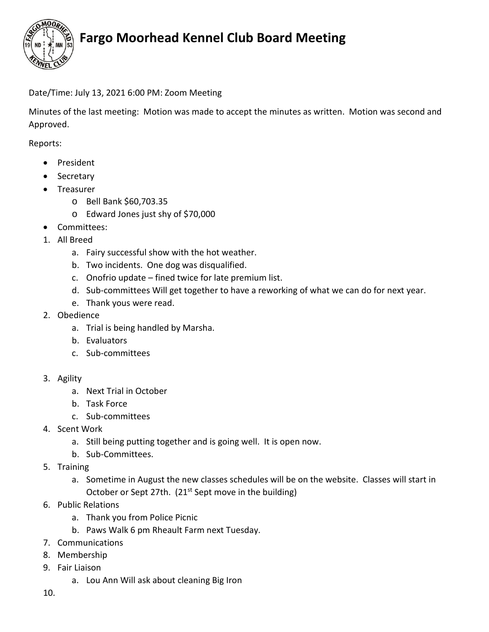

## **Fargo Moorhead Kennel Club Board Meeting**

## Date/Time: July 13, 2021 6:00 PM: Zoom Meeting

Minutes of the last meeting: Motion was made to accept the minutes as written. Motion was second and Approved.

Reports:

- President
- Secretary
- Treasurer
	- o Bell Bank \$60,703.35
	- o Edward Jones just shy of \$70,000
- Committees:
- 1. All Breed
	- a. Fairy successful show with the hot weather.
	- b. Two incidents. One dog was disqualified.
	- c. Onofrio update fined twice for late premium list.
	- d. Sub-committees Will get together to have a reworking of what we can do for next year.
	- e. Thank yous were read.
- 2. Obedience
	- a. Trial is being handled by Marsha.
	- b. Evaluators
	- c. Sub-committees
- 3. Agility
	- a. Next Trial in October
	- b. Task Force
	- c. Sub-committees
- 4. Scent Work
	- a. Still being putting together and is going well. It is open now.
	- b. Sub-Committees.
- 5. Training
	- a. Sometime in August the new classes schedules will be on the website. Classes will start in October or Sept 27th. (21<sup>st</sup> Sept move in the building)
- 6. Public Relations
	- a. Thank you from Police Picnic
	- b. Paws Walk 6 pm Rheault Farm next Tuesday.
- 7. Communications
- 8. Membership
- 9. Fair Liaison
	- a. Lou Ann Will ask about cleaning Big Iron